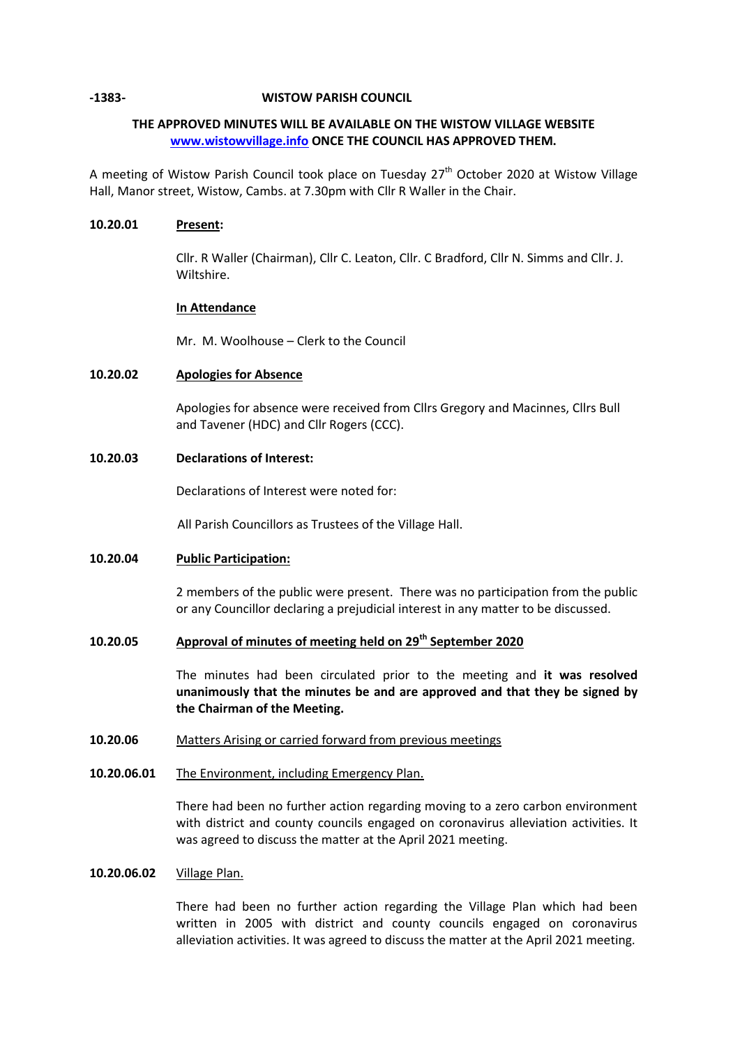## **-1383- WISTOW PARISH COUNCIL**

# **THE APPROVED MINUTES WILL BE AVAILABLE ON THE WISTOW VILLAGE WEBSITE [www.wistowvillage.info](http://www.wistowvillage.info/) ONCE THE COUNCIL HAS APPROVED THEM.**

A meeting of Wistow Parish Council took place on Tuesday  $27<sup>th</sup>$  October 2020 at Wistow Village Hall, Manor street, Wistow, Cambs. at 7.30pm with Cllr R Waller in the Chair.

## **10.20.01 Present:**

Cllr. R Waller (Chairman), Cllr C. Leaton, Cllr. C Bradford, Cllr N. Simms and Cllr. J. Wiltshire.

### **In Attendance**

Mr. M. Woolhouse – Clerk to the Council

# **10.20.02 Apologies for Absence**

Apologies for absence were received from Cllrs Gregory and Macinnes, Cllrs Bull and Tavener (HDC) and Cllr Rogers (CCC).

## **10.20.03 Declarations of Interest:**

Declarations of Interest were noted for:

All Parish Councillors as Trustees of the Village Hall.

## **10.20.04 Public Participation:**

2 members of the public were present. There was no participation from the public or any Councillor declaring a prejudicial interest in any matter to be discussed.

# 10.20.05 **Approval of minutes of meeting held on 29<sup>th</sup> September 2020**

The minutes had been circulated prior to the meeting and **it was resolved unanimously that the minutes be and are approved and that they be signed by the Chairman of the Meeting.**

#### **10.20.06** Matters Arising or carried forward from previous meetings

**10.20.06.01** The Environment, including Emergency Plan.

> There had been no further action regarding moving to a zero carbon environment with district and county councils engaged on coronavirus alleviation activities. It was agreed to discuss the matter at the April 2021 meeting.

#### **10.20.06.02** Village Plan.

There had been no further action regarding the Village Plan which had been written in 2005 with district and county councils engaged on coronavirus alleviation activities. It was agreed to discuss the matter at the April 2021 meeting.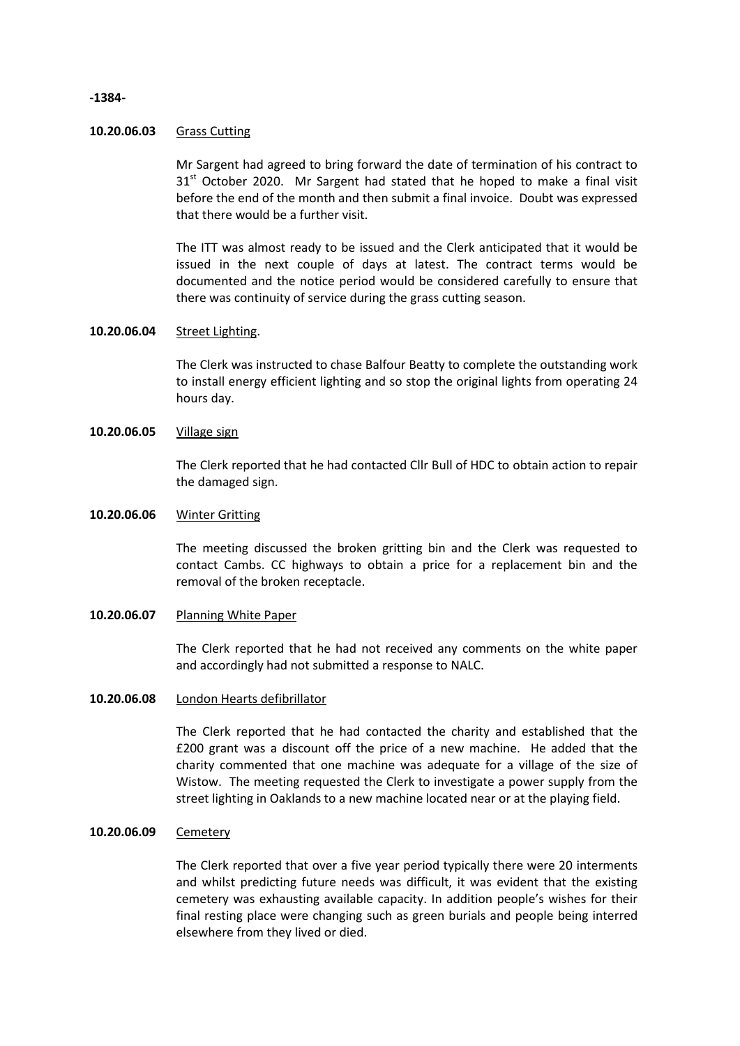# **-1384-**

### **10.20.06.03** Grass Cutting

Mr Sargent had agreed to bring forward the date of termination of his contract to  $31<sup>st</sup>$  October 2020. Mr Sargent had stated that he hoped to make a final visit before the end of the month and then submit a final invoice. Doubt was expressed that there would be a further visit.

The ITT was almost ready to be issued and the Clerk anticipated that it would be issued in the next couple of days at latest. The contract terms would be documented and the notice period would be considered carefully to ensure that there was continuity of service during the grass cutting season.

## **10.20.06.04** Street Lighting.

The Clerk was instructed to chase Balfour Beatty to complete the outstanding work to install energy efficient lighting and so stop the original lights from operating 24 hours day.

## **10.20.06.05** Village sign

The Clerk reported that he had contacted Cllr Bull of HDC to obtain action to repair the damaged sign.

#### **10.20.06.06** Winter Gritting

The meeting discussed the broken gritting bin and the Clerk was requested to contact Cambs. CC highways to obtain a price for a replacement bin and the removal of the broken receptacle.

### **10.20.06.07** Planning White Paper

The Clerk reported that he had not received any comments on the white paper and accordingly had not submitted a response to NALC.

## **10.20.06.08** London Hearts defibrillator

The Clerk reported that he had contacted the charity and established that the £200 grant was a discount off the price of a new machine. He added that the charity commented that one machine was adequate for a village of the size of Wistow. The meeting requested the Clerk to investigate a power supply from the street lighting in Oaklands to a new machine located near or at the playing field.

### **10.20.06.09** Cemetery

The Clerk reported that over a five year period typically there were 20 interments and whilst predicting future needs was difficult, it was evident that the existing cemetery was exhausting available capacity. In addition people's wishes for their final resting place were changing such as green burials and people being interred elsewhere from they lived or died.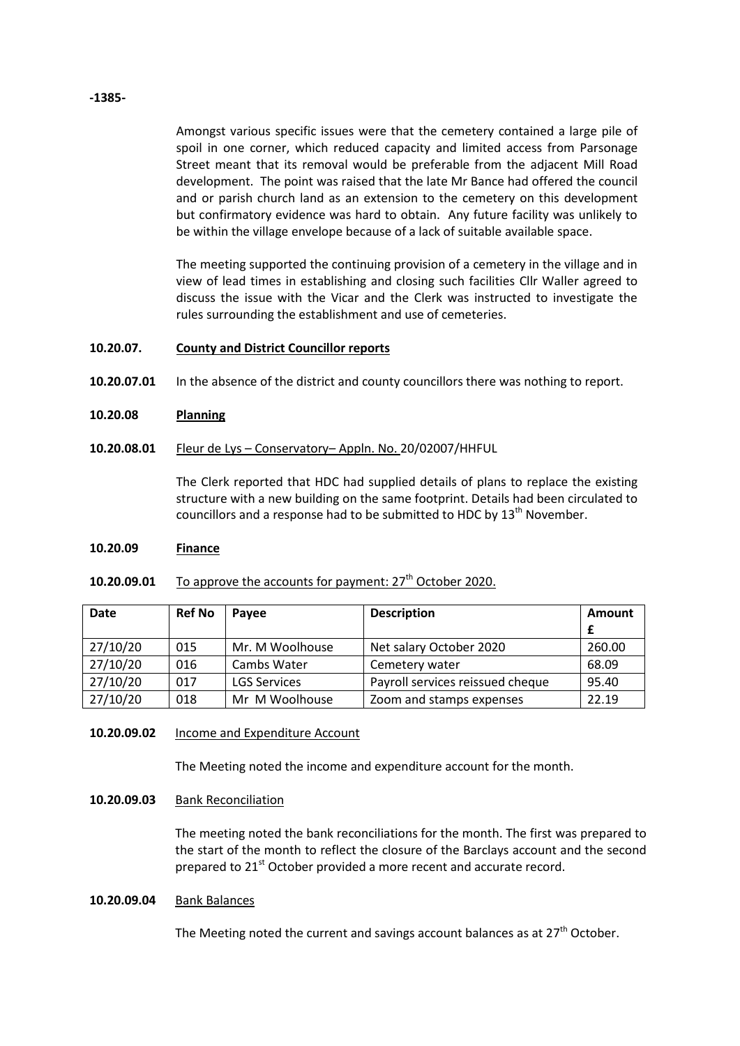### **-1385-**

Amongst various specific issues were that the cemetery contained a large pile of spoil in one corner, which reduced capacity and limited access from Parsonage Street meant that its removal would be preferable from the adjacent Mill Road development. The point was raised that the late Mr Bance had offered the council and or parish church land as an extension to the cemetery on this development but confirmatory evidence was hard to obtain. Any future facility was unlikely to be within the village envelope because of a lack of suitable available space.

The meeting supported the continuing provision of a cemetery in the village and in view of lead times in establishing and closing such facilities Cllr Waller agreed to discuss the issue with the Vicar and the Clerk was instructed to investigate the rules surrounding the establishment and use of cemeteries.

#### **10.20.07. County and District Councillor reports**

- **10.20.07.01** In the absence of the district and county councillors there was nothing to report.
- **10.20.08 Planning**

#### **10.20.08.01** Fleur de Lys – Conservatory– Appln. No. 20/02007/HHFUL

The Clerk reported that HDC had supplied details of plans to replace the existing structure with a new building on the same footprint. Details had been circulated to councillors and a response had to be submitted to HDC by 13<sup>th</sup> November.

#### **10.20.09 Finance**

#### **10.20.09.01** To approve the accounts for payment: 27<sup>th</sup> October 2020.

| <b>Date</b> | <b>Ref No</b> | Pavee               | <b>Description</b>               | Amount |
|-------------|---------------|---------------------|----------------------------------|--------|
|             |               |                     |                                  |        |
| 27/10/20    | 015           | Mr. M Woolhouse     | Net salary October 2020          | 260.00 |
| 27/10/20    | 016           | Cambs Water         | Cemetery water                   | 68.09  |
| 27/10/20    | 017           | <b>LGS Services</b> | Payroll services reissued cheque | 95.40  |
| 27/10/20    | 018           | Mr M Woolhouse      | Zoom and stamps expenses         | 22.19  |

#### **10.20.09.02** Income and Expenditure Account

The Meeting noted the income and expenditure account for the month.

## **10.20.09.03** Bank Reconciliation

The meeting noted the bank reconciliations for the month. The first was prepared to the start of the month to reflect the closure of the Barclays account and the second prepared to 21<sup>st</sup> October provided a more recent and accurate record.

### **10.20.09.04** Bank Balances

The Meeting noted the current and savings account balances as at 27<sup>th</sup> October.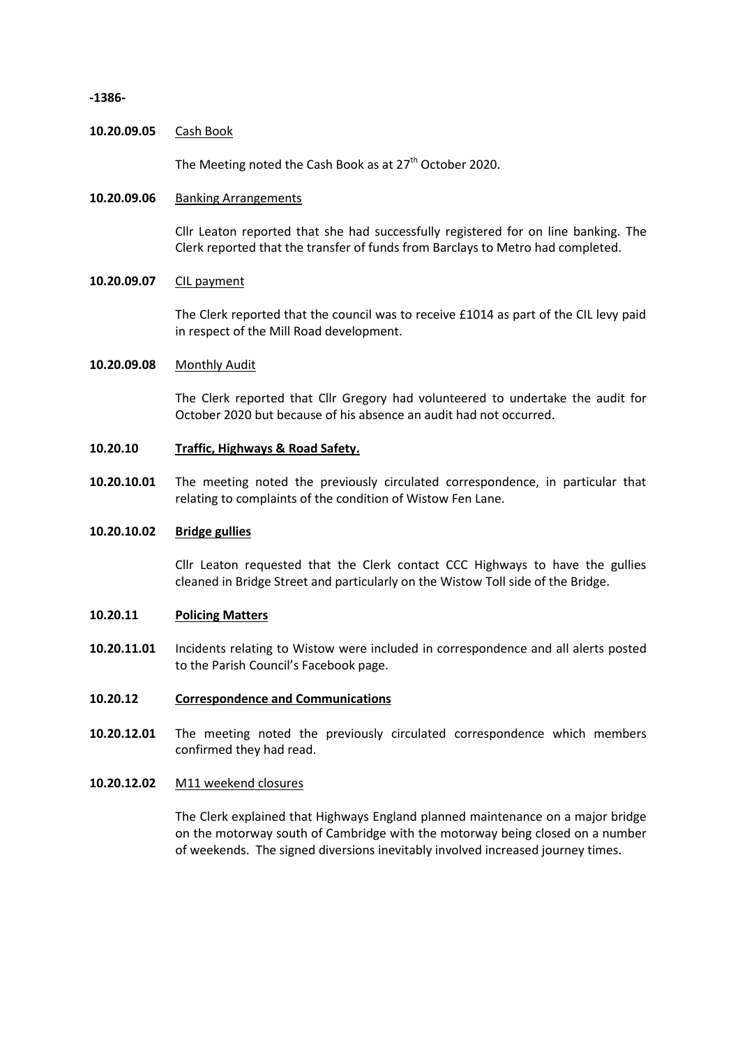#### **-1386-**

### **10.20.09.05** Cash Book

The Meeting noted the Cash Book as at 27<sup>th</sup> October 2020.

### **10.20.09.06** Banking Arrangements

Cllr Leaton reported that she had successfully registered for on line banking. The Clerk reported that the transfer of funds from Barclays to Metro had completed.

# **10.20.09.07** CIL payment

The Clerk reported that the council was to receive £1014 as part of the CIL levy paid in respect of the Mill Road development.

# **10.20.09.08** Monthly Audit

The Clerk reported that Cllr Gregory had volunteered to undertake the audit for October 2020 but because of his absence an audit had not occurred.

#### **10.20.10 Traffic, Highways & Road Safety.**

**10.20.10.01** The meeting noted the previously circulated correspondence, in particular that relating to complaints of the condition of Wistow Fen Lane.

#### **10.20.10.02 Bridge gullies**

Cllr Leaton requested that the Clerk contact CCC Highways to have the gullies cleaned in Bridge Street and particularly on the Wistow Toll side of the Bridge.

#### **10.20.11 Policing Matters**

**10.20.11.01** Incidents relating to Wistow were included in correspondence and all alerts posted to the Parish Council's Facebook page.

## **10.20.12 Correspondence and Communications**

**10.20.12.01** The meeting noted the previously circulated correspondence which members confirmed they had read.

#### **10.20.12.02** M11 weekend closures

The Clerk explained that Highways England planned maintenance on a major bridge on the motorway south of Cambridge with the motorway being closed on a number of weekends. The signed diversions inevitably involved increased journey times.